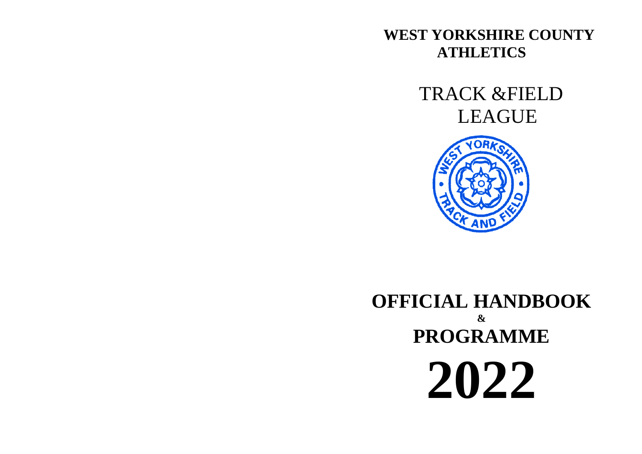**WEST YORKSHIRE COUNTY ATHLETICS**

> TRACK &FIELD LEAGUE



**OFFICIAL HANDBOOK & PROGRAMME 2022**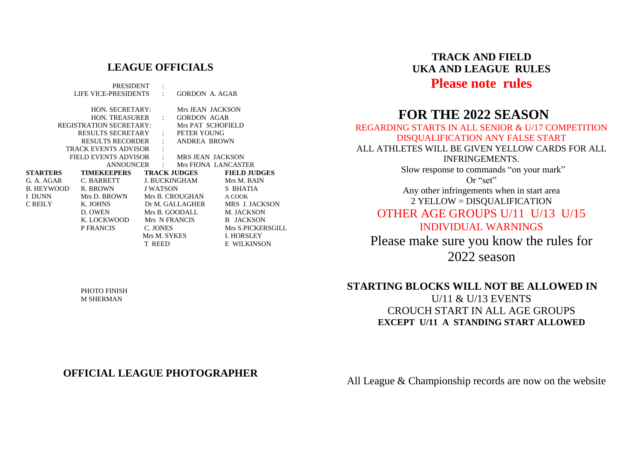## **LEAGUE OFFICIALS**

| PRESIDENT   |                                              |                                                            |                                                                                                                                                                                                                                                                                                                                                                                                                                                                                              |
|-------------|----------------------------------------------|------------------------------------------------------------|----------------------------------------------------------------------------------------------------------------------------------------------------------------------------------------------------------------------------------------------------------------------------------------------------------------------------------------------------------------------------------------------------------------------------------------------------------------------------------------------|
|             |                                              |                                                            |                                                                                                                                                                                                                                                                                                                                                                                                                                                                                              |
|             |                                              |                                                            |                                                                                                                                                                                                                                                                                                                                                                                                                                                                                              |
|             |                                              |                                                            |                                                                                                                                                                                                                                                                                                                                                                                                                                                                                              |
|             |                                              |                                                            |                                                                                                                                                                                                                                                                                                                                                                                                                                                                                              |
|             |                                              |                                                            |                                                                                                                                                                                                                                                                                                                                                                                                                                                                                              |
|             |                                              |                                                            |                                                                                                                                                                                                                                                                                                                                                                                                                                                                                              |
|             |                                              |                                                            |                                                                                                                                                                                                                                                                                                                                                                                                                                                                                              |
|             |                                              |                                                            |                                                                                                                                                                                                                                                                                                                                                                                                                                                                                              |
|             |                                              |                                                            |                                                                                                                                                                                                                                                                                                                                                                                                                                                                                              |
| TIMEKEEPERS |                                              |                                                            |                                                                                                                                                                                                                                                                                                                                                                                                                                                                                              |
|             |                                              |                                                            |                                                                                                                                                                                                                                                                                                                                                                                                                                                                                              |
|             |                                              |                                                            |                                                                                                                                                                                                                                                                                                                                                                                                                                                                                              |
|             |                                              |                                                            | A COOK                                                                                                                                                                                                                                                                                                                                                                                                                                                                                       |
|             |                                              |                                                            |                                                                                                                                                                                                                                                                                                                                                                                                                                                                                              |
| D. OWEN     |                                              |                                                            |                                                                                                                                                                                                                                                                                                                                                                                                                                                                                              |
| K. LOCKWOOD |                                              |                                                            |                                                                                                                                                                                                                                                                                                                                                                                                                                                                                              |
|             |                                              |                                                            | Mrs S.PICKERSGILL                                                                                                                                                                                                                                                                                                                                                                                                                                                                            |
|             |                                              |                                                            | I. HORSLEY                                                                                                                                                                                                                                                                                                                                                                                                                                                                                   |
|             |                                              |                                                            | E WILKINSON                                                                                                                                                                                                                                                                                                                                                                                                                                                                                  |
|             | TRACK EVENTS ADVISOR :<br>C. JONES<br>T REED | LIFE VICE-PRESIDENTS :<br>R. BROWN JWATSON<br>Mrs M. SYKES | GORDON A. AGAR<br>HON. SECRETARY: Mrs JEAN JACKSON<br>HON. TREASURER : GORDON AGAR<br>REGISTRATION SECRETARY: Mrs PAT SCHOFIELD<br>RESULTS SECRETARY : PETER YOUNG<br>RESULTS RECORDER : ANDREA BROWN<br>FIELD EVENTS ADVISOR : MRS JEAN JACKSON<br>ANNOUNCER : Mrs FIONA LANCASTER<br>TRACK JUDGES FIELD JUDGES<br>J. BUCKINGHAM Mrs M. BAIN<br>S BHATIA<br>Mrs D. BROWN Mrs B. CROUGHAN<br>K. JOHNS Dr M. GALLAGHER MRS J. JACKSON<br>Mrs B. GOODALL M. JACKSON<br>Mrs N FRANCIS B JACKSON |

# **TRACK AND FIELD UKA AND LEAGUE RULES Please note rules**

# **FOR THE 2022 SEASON**

| REGARDING STARTS IN ALL SENIOR & U/17 COMPETITION |
|---------------------------------------------------|
| DISQUALIFICATION ANY FALSE START                  |
| ALL ATHLETES WILL BE GIVEN YELLOW CARDS FOR ALL   |
| <b>INFRINGEMENTS.</b>                             |
| Slow response to commands "on your mark"          |
| Or "set"                                          |
| Any other infringements when in start area        |
| 2 YELLOW = DISQUALIFICATION                       |
| OTHER AGE GROUPS U/11 U/13 U/15                   |
| <b>INDIVIDUAL WARNINGS</b>                        |
| Please make sure you know the rules for           |
| $\mathbf{a}\mathbf{a}\mathbf{a}$                  |

2022 season

# **STARTING BLOCKS WILL NOT BE ALLOWED IN** U/11 & U/13 EVENTS CROUCH START IN ALL AGE GROUPS **EXCEPT U/11 A STANDING START ALLOWED**

# **OFFICIAL LEAGUE PHOTOGRAPHER**

PHOTO FINISH M SHERMAN

# All League & Championship records are now on the website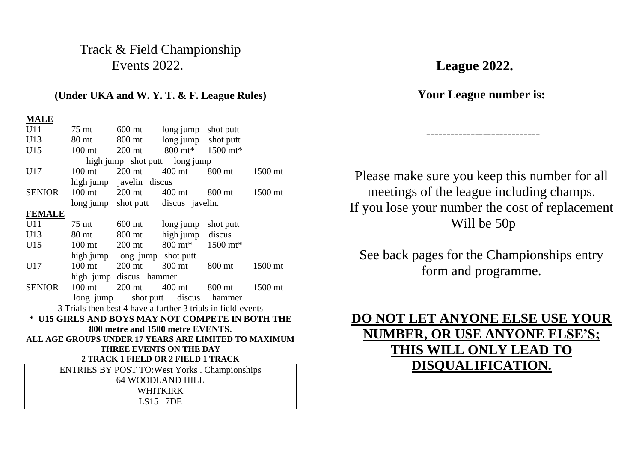# Track & Field Championship Events 2022.

## **(Under UKA and W. Y. T. & F. League Rules)**

#### **MALE**

| U11                           | 75 mt                                                        | 600 mt                        | long jump shot putt                 |                |                                                      |  |  |  |  |
|-------------------------------|--------------------------------------------------------------|-------------------------------|-------------------------------------|----------------|------------------------------------------------------|--|--|--|--|
| U13                           | 80 mt                                                        | 800 mt                        | long jump shot putt                 |                |                                                      |  |  |  |  |
| U15                           | $100 \text{ mt}$                                             | $200$ mt                      | 800 mt* 1500 mt*                    |                |                                                      |  |  |  |  |
| high jump shot putt long jump |                                                              |                               |                                     |                |                                                      |  |  |  |  |
| U17                           | 100 <sub>mt</sub>                                            | $200$ mt                      | 400 mt                              | 800 mt         | 1500 mt                                              |  |  |  |  |
|                               |                                                              | high jump javelin discus      |                                     |                |                                                      |  |  |  |  |
| <b>SENIOR</b>                 | 100 mt 200 mt                                                |                               | 400 mt                              | 800 mt         | 1500 mt                                              |  |  |  |  |
|                               |                                                              |                               | long jump shot putt discus javelin. |                |                                                      |  |  |  |  |
| <b>FEMALE</b>                 |                                                              |                               |                                     |                |                                                      |  |  |  |  |
| U11                           | $75$ mt                                                      | $600$ mt                      | long jump                           | shot putt      |                                                      |  |  |  |  |
| U13                           | 80 mt                                                        | 800 mt                        | high jump                           | discus         |                                                      |  |  |  |  |
| U15                           | 100 mt 200 mt                                                |                               | 800 mt*                             | 1500 mt*       |                                                      |  |  |  |  |
|                               |                                                              | high jump long jump shot putt |                                     |                |                                                      |  |  |  |  |
| U17                           | 100 <sub>mt</sub>                                            | 200 mt 300 mt                 |                                     | 800 mt         | 1500 mt                                              |  |  |  |  |
|                               |                                                              | high jump discus hammer       |                                     |                |                                                      |  |  |  |  |
| <b>SENIOR</b>                 | $100$ mt                                                     | $200$ mt                      | $400$ mt                            | 800 mt 1500 mt |                                                      |  |  |  |  |
|                               | long jump                                                    |                               | shot putt discus hammer             |                |                                                      |  |  |  |  |
|                               | 3 Trials then best 4 have a further 3 trials in field events |                               |                                     |                |                                                      |  |  |  |  |
|                               | * U15 GIRLS AND BOYS MAY NOT COMPETE IN BOTH THE             |                               |                                     |                |                                                      |  |  |  |  |
|                               |                                                              |                               | 800 metre and 1500 metre EVENTS.    |                |                                                      |  |  |  |  |
|                               |                                                              |                               |                                     |                | ALL AGE GROUPS UNDER 17 YEARS ARE LIMITED TO MAXIMUM |  |  |  |  |
| THREE EVENTS ON THE DAY       |                                                              |                               |                                     |                |                                                      |  |  |  |  |
|                               |                                                              |                               | 2 TRACK 1 FIELD OR 2 FIELD 1 TRACK  |                |                                                      |  |  |  |  |
|                               | <b>ENTRIES BY POST TO: West Yorks. Championships</b>         |                               |                                     |                |                                                      |  |  |  |  |
|                               |                                                              |                               | <b>64 WOODLAND HILL</b>             |                |                                                      |  |  |  |  |
|                               |                                                              |                               | WHITKIRK                            |                |                                                      |  |  |  |  |
| LS15 7DE                      |                                                              |                               |                                     |                |                                                      |  |  |  |  |

# **League 2022.**

**Your League number is:**

----------------------------

Please make sure you keep this number for all meetings of the league including champs. If you lose your number the cost of replacement Will be 50p

See back pages for the Championships entry form and programme.

# **DO NOT LET ANYONE ELSE USE YOUR NUMBER, OR USE ANYONE ELSE'S; THIS WILL ONLY LEAD TO DISQUALIFICATION.**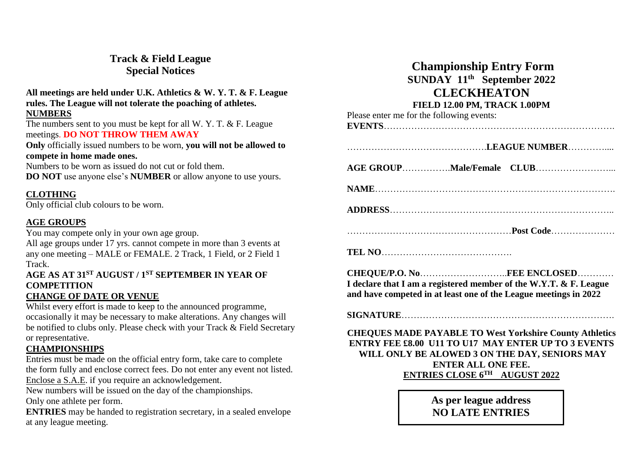**Track & Field League Special Notices**

#### **All meetings are held under U.K. Athletics & W. Y. T. & F. League rules. The League will not tolerate the poaching of athletes. NUMBERS**

The numbers sent to you must be kept for all W. Y. T. & F. League meetings. **DO NOT THROW THEM AWAY**

**Only** officially issued numbers to be worn, **you will not be allowed to compete in home made ones.**

Numbers to be worn as issued do not cut or fold them. **DO NOT** use anyone else's **NUMBER** or allow anyone to use yours.

## **CLOTHING**

Only official club colours to be worn.

## **AGE GROUPS**

You may compete only in your own age group.

All age groups under 17 yrs. cannot compete in more than 3 events at any one meeting – MALE or FEMALE. 2 Track, 1 Field, or 2 Field 1 Track.

# **AGE AS AT 31 ST AUGUST / 1ST SEPTEMBER IN YEAR OF COMPETITION**

## **CHANGE OF DATE OR VENUE**

Whilst every effort is made to keep to the announced programme, occasionally it may be necessary to make alterations. Any changes will be notified to clubs only. Please check with your Track & Field Secretary or representative.

## **CHAMPIONSHIPS**

Entries must be made on the official entry form, take care to complete the form fully and enclose correct fees. Do not enter any event not listed. Enclose a S.A.E. if you require an acknowledgement.

New numbers will be issued on the day of the championships. Only one athlete per form.

**ENTRIES** may be handed to registration secretary, in a sealed envelope at any league meeting.

# **Championship Entry Form SUNDAY 11th September 2022 CLECKHEATON**

## **FIELD 12.00 PM, TRACK 1.00PM**

| Please enter me for the following events: |
|-------------------------------------------|
|                                           |
|                                           |
|                                           |
|                                           |
|                                           |
|                                           |
|                                           |
|                                           |
|                                           |
|                                           |
|                                           |
|                                           |
|                                           |
|                                           |

**CHEQUE/P.O. No**………………………..**FEE ENCLOSED**………… **I declare that I am a registered member of the W.Y.T. & F. League and have competed in at least one of the League meetings in 2022**

**SIGNATURE**…………………………………………………………….

**CHEQUES MADE PAYABLE TO West Yorkshire County Athletics ENTRY FEE £8.00 U11 TO U17 MAY ENTER UP TO 3 EVENTS WILL ONLY BE ALOWED 3 ON THE DAY, SENIORS MAY ENTER ALL ONE FEE. ENTRIES CLOSE 6 TH AUGUST 2022**

> **As per league address NO LATE ENTRIES**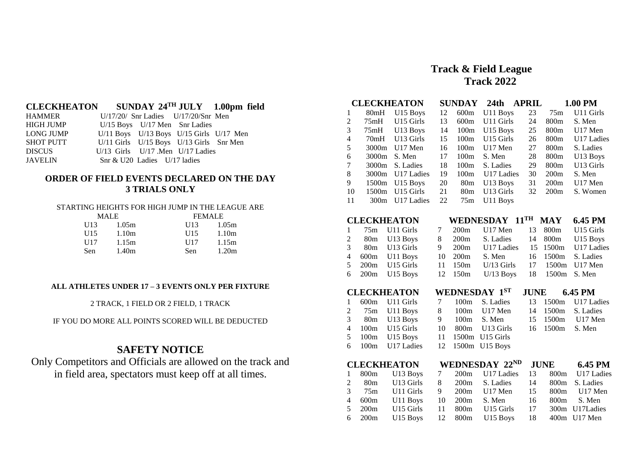## **Track & Field League Track 2022**

|    |                   | <b>CLECKHEATON</b>    |    |                 | <b>SUNDAY 24th APRIL</b> |    |                  | 1.00 PM    |
|----|-------------------|-----------------------|----|-----------------|--------------------------|----|------------------|------------|
| 1  | 80mH              | U <sub>15</sub> Boys  | 12 | 600m            | U11 Boys                 | 23 | 75m              | U11 Girls  |
| 2  | 75mH              | U <sub>15</sub> Girls | 13 | 600m            | U11 Girls                | 24 | 800 <sub>m</sub> | S. Men     |
| 3  | 75mH              | U13 Boys              | 14 | 100m            | U15 Boys                 | 25 | 800 <sub>m</sub> | U17 Men    |
| 4  | 70mH              | U13 Girls             | 15 | 100m            | U15 Girls                | 26 | 800m             | U17 Ladies |
| 5  | 3000m             | $U17$ Men             | 16 | 100m            | U17 Men                  | 27 | 800m             | S. Ladies  |
| 6  | 3000m             | S. Men                | 17 | 100m            | S. Men                   | 28 | 800 <sub>m</sub> | U13 Boys   |
| 7  | 3000m             | S. Ladies             | 18 | 100m            | S. Ladies                | 29 | 800 <sub>m</sub> | U13 Girls  |
| 8  | 3000m             | U17 Ladies            | 19 | 100m            | U17 Ladies               | 30 | 200m             | S. Men     |
| 9  | 1500m             | U15 Boys              | 20 | 80 <sub>m</sub> | U13 Boys                 | 31 | 200 <sub>m</sub> | U17 Men    |
| 10 | 1500 <sub>m</sub> | U <sub>15</sub> Girls | 21 | 80 <sub>m</sub> | U13 Girls                | 32 | 200m             | S. Women   |
| 11 | 300m              | U17 Ladies            | 22 | 75m             | U <sub>11</sub> Boys     |    |                  |            |
|    |                   |                       |    |                 |                          |    |                  |            |

| 6.45 PM            |
|--------------------|
| WEDNESDAY 11TH MAY |

| 1 75m U11 Girls 7 200m U17 Men 13 800m U15 Girls     |
|------------------------------------------------------|
|                                                      |
| 2 80m U13 Boys 8 200m S. Ladies 14 800m U15 Boys     |
| 9 200m U17 Ladies 15 1500m U17 Ladies                |
| 4 600m U11 Boys 10 200m S. Men 16 1500m S. Ladies    |
| 5 200m U15 Girls 11 150m U/13 Girls 17 1500m U17 Men |
| 6 200m U15 Boys 12 150m U/13 Boys 18 1500m S. Men    |
|                                                      |

|  | <b>CLECKHEATON</b> | <b>WEDNESDAY 1ST</b> |  | <b>JUNE</b> |  | 6.45 PM |  |
|--|--------------------|----------------------|--|-------------|--|---------|--|
|  |                    |                      |  |             |  |         |  |

|  | 1 600m U11 Girls 7 100m S. Ladies 13 1500m U17 Ladies |  |  |  |
|--|-------------------------------------------------------|--|--|--|
|  | 2 75m U11 Boys 8 100m U17 Men 14 1500m S. Ladies      |  |  |  |
|  | 3 80m U13 Boys 9 100m S. Men 15 1500m U17 Men         |  |  |  |
|  | 4 100m U15 Girls 10 800m U13 Girls 16 1500m S. Men    |  |  |  |
|  | 5 100m U15 Boys 11 1500m U15 Girls                    |  |  |  |
|  | 6 100m U17 Ladies 12 1500m U15 Boys                   |  |  |  |

|  |                 |  | CLECKHEATON WEDNESDAY $22^{ND}$ JUNE 6.45 PM          |  |             |
|--|-----------------|--|-------------------------------------------------------|--|-------------|
|  |                 |  | 1 800m U13 Boys 7 200m U17 Ladies 13 800m U17 Ladies  |  |             |
|  | 2 80m U13 Girls |  | 8 200m S. Ladies 14 800m S. Ladies                    |  |             |
|  |                 |  | 3 75m U11 Girls 9 200m U17 Men 15 800m U17 Men        |  |             |
|  |                 |  | 4 600m U11 Boys 10 200m S. Men 16                     |  | 800m S. Men |
|  |                 |  | 5 200m U15 Girls 11 800m U15 Girls 17 300m U17 Ladies |  |             |
|  |                 |  | 6 200m U15 Boys 12 800m U15 Boys 18 400m U17 Men      |  |             |

#### **CLECKHEATON SUNDAY 24TH JULY** 1.00pm field

| <b>HAMMER</b>    |                                         | $U/17/20/$ Snr Ladies $U/17/20/S$ nr Men        |  |
|------------------|-----------------------------------------|-------------------------------------------------|--|
| <b>HIGH JUMP</b> |                                         | U/15 Boys U/17 Men Snr Ladies                   |  |
| <b>LONG JUMP</b> |                                         | $U/11$ Boys $U/13$ Boys $U/15$ Girls $U/17$ Men |  |
| <b>SHOT PUTT</b> | U/11 Girls U/15 Boys U/13 Girls Snr Men |                                                 |  |
| <b>DISCUS</b>    | $U/13$ Girls $U/17$ . Men $U/17$ Ladies |                                                 |  |
| <b>JAVELIN</b>   | Snr $&$ U20 Ladies U/17 ladies          |                                                 |  |

#### **ORDER OF FIELD EVENTS DECLARED ON THE DAY 3 TRIALS ONLY**

#### STARTING HEIGHTS FOR HIGH JUMP IN THE LEAGUE ARE

|            | MALE. | <b>FEMALE</b> |       |  |  |
|------------|-------|---------------|-------|--|--|
| II13       | 1.05m | U13           | 1.05m |  |  |
| U15        | 1.10m | U15           | 1.10m |  |  |
| U17        | 1.15m | U17           | 1.15m |  |  |
| <b>Sen</b> | 1.40m | Sen           | 1.20m |  |  |

#### **ALL ATHLETES UNDER 17 – 3 EVENTS ONLY PER FIXTURE**

#### 2 TRACK, 1 FIELD OR 2 FIELD, 1 TRACK

IF YOU DO MORE ALL POINTS SCORED WILL BE DEDUCTED

## **SAFETY NOTICE**

Only Competitors and Officials are allowed on the track and in field area, spectators must keep off at all times.